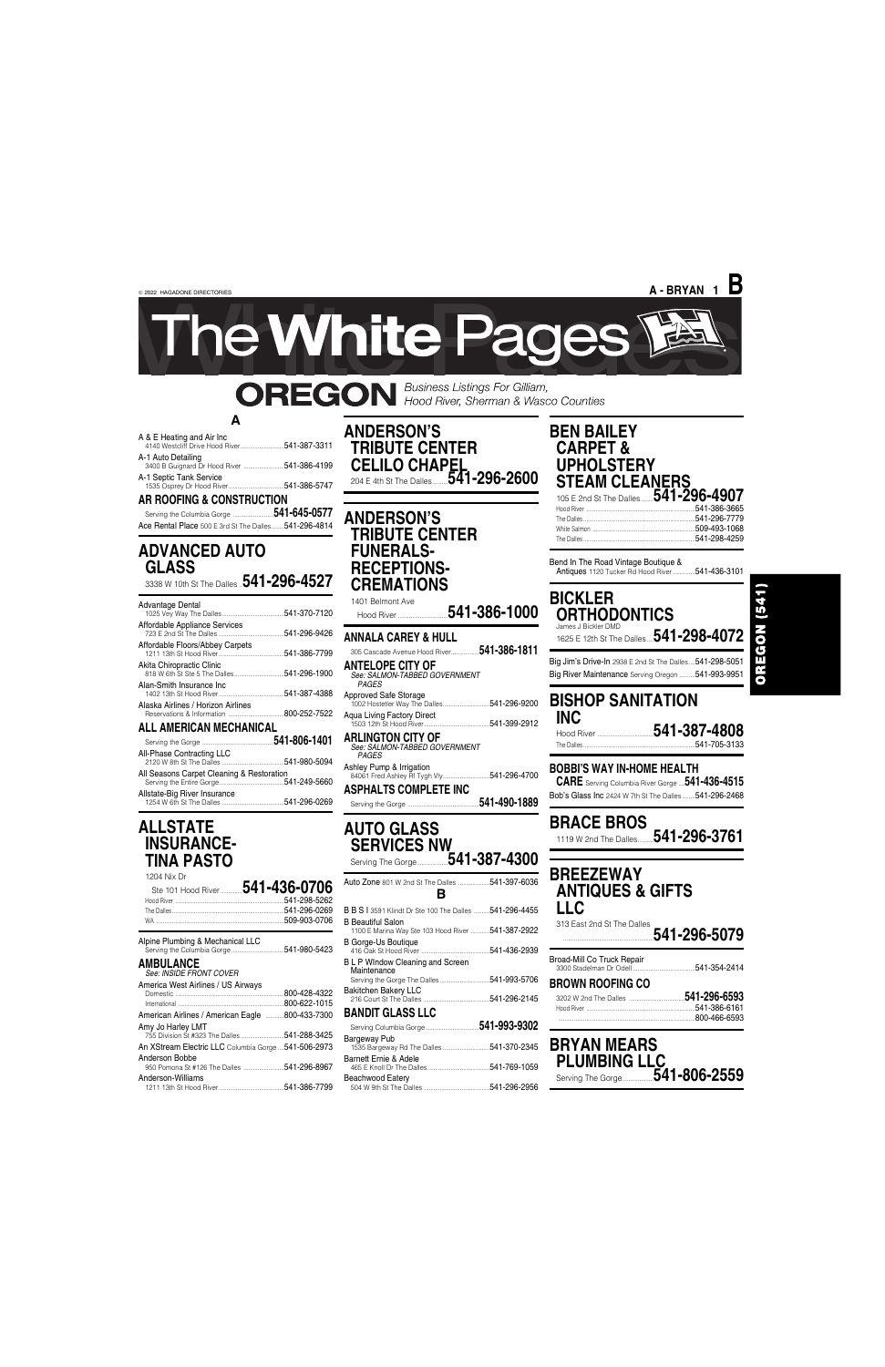## **A**

| A & E Heating and Air Inc.<br>4140 Westcliff Drive Hood River541-387-3311 |  |
|---------------------------------------------------------------------------|--|
| A-1 Auto Detailing<br>3400 B Guignard Dr Hood River 541-386-4199          |  |

A-1 Septic Tank Service 1535 Osprey Dr Hood River....................................541-386-5747

**AR ROOFING & CONSTRUCTION**

Serving the Columbia Gorge ..........................**541-645-0577** Ace Rental Place 500 E 3rd St The Dalles........541-296-4814

## **ADVANCED AUTO GLASS**

3338 W 10th St The Dalles ..**541-296-4527**

| <b>Advantage Dental</b>            | 541-370-7120 |
|------------------------------------|--------------|
| Affordable Appliance Services      | 541-296-9426 |
| Affordable Floors/Abbey Carpets    | 541-386-7799 |
| Akita Chiropractic Clinic          | 541-296-1900 |
| Alan-Smith Insurance Inc           | 541-387-4388 |
| Alaska Airlines / Horizon Airlines | 800-252-7522 |
| <b>ALL AMERICAN MECHANICAL</b>     |              |

| All-Phase Contracting LLC                 |  |
|-------------------------------------------|--|
| All Seasons Carpet Cleaning & Restoration |  |
| Allstate-Big River Insurance              |  |

1503 12th St Hood River..........................................541-399-2912 **ARLING I ON CITY OF**<br>*See: SALMON-TABBED GOVERNMENT<br><i>PAGES* 

## **ALLSTATE INSURANCE-TINA PASTO**

| 1204 Nix Dr |                                        |
|-------------|----------------------------------------|
|             | Ste 101 Hood River <b>541-436-0706</b> |
|             |                                        |
|             |                                        |
|             |                                        |
|             |                                        |

## Hood River ....................................**541-387-4808** .541-705-3133

## **ANDERSON'S TRIBUTE CENTER CELILO CHAPEL<br>204 E 4th St The Dalles........541-296-2600** 204 E 4th St The Dalles..........**541-296-2600**

**BRACE BROS**<br>1119 W 2nd The Dalles...... 1119 W 2nd The Dalles..........**541-296-3761**

**ANDERSON'S TRIBUTE CENTER FUNERALS-RECEPTIONS-CREMATIONS**

1401 Belmont Ave Hood River ................................**541-386-1000**

## **ANNALA CAREY & HULL**

305 Cascade Avenue Hood River..................**541-386-1811 ANTELOPE CITY OF**

*See: SALMON-TABBED GOVERNMENT PAGES* Approved Safe Storage 1002 Hostetler Way The Dalles..............................541-296-9200 Aqua Living Factory Direct

Ashley Pump & Irrigation 84061 Fred Ashley Rf Tygh Vly..............................541-296-4700

**ASPHALTS COMPLETE INC** Serving the Gorge ..............................................**541-490-1889**

## **AUTO GLASS SERVICES NW** Serving The Gorge....................**541-387-4300**

| Auto Zone 801 W 2nd St The Dalles 541-397-6036<br>R                            |  |
|--------------------------------------------------------------------------------|--|
| <b>B B S   3591 Klindt Dr Ste 100 The Dalles 541-296-4455</b>                  |  |
| <b>B</b> Beautiful Salon<br>1100 E Marina Way Ste 103 Hood River  541-387-2922 |  |
| <b>B Gorge-Us Boutique</b>                                                     |  |
| RI P Window Cleaning and Screen                                                |  |

| Alpine Plumbing & Mechanical LLC                                 | B Beautiful Salon<br>1100 E Marina Way Ste 103 Hood River  541-387-2922<br><b>B Gorge-Us Boutique</b> | 313 East 2nd St The Dalles<br>541-296-5079 |
|------------------------------------------------------------------|-------------------------------------------------------------------------------------------------------|--------------------------------------------|
|                                                                  |                                                                                                       |                                            |
| <b>AMBULANCE</b><br>See: INSIDE FRONT COVER                      | <b>BLP Window Cleaning and Screen</b><br>Maintenance                                                  | Broad-Mill Co Truck Repair                 |
| America West Airlines / US Airways                               |                                                                                                       | <b>BROWN ROOFING CO</b>                    |
| .800-428-4322<br>.800-622-1015                                   | <b>Bakitchen Bakery LLC</b>                                                                           | 541-296-6593                               |
| 800-433-7300<br>American Airlines / American Eagle               | <b>BANDIT GLASS LLC</b>                                                                               | .800-466-6593                              |
| Amy Jo Harley LMT<br>755 Division St #323 The Dalles541-288-3425 | 541-993-9302<br>Bargeway Pub                                                                          |                                            |
| An XStream Electric LLC Columbia Gorge 541-506-2973              | 1535 Bargeway Rd The Dalles 541-370-2345                                                              | <b>BRYAN MEARS</b>                         |
| Anderson Bobbe<br>950 Pomona St #126 The Dalles 541-296-8967     | Barnett Ernie & Adele                                                                                 | <b>PLUMBING LLC</b>                        |
| Anderson-Williams                                                | Beachwood Eatery                                                                                      |                                            |

# OREGON (541)

## **BEN BAILEY CARPET & UPHOLSTERY STEAM CLEANERS**

105 E 2nd St The Dalles........**541-296-4907** Hood River ......................................................................541-386-3665 The Dalles ........................................................................541-296-7779 White Salmon ..................................................................509-493-1068 The Dalles ........................................................................541-298-4259

Bend In The Road Vintage Boutique & Antiques 1120 Tucker Rd Hood River ..............541-436-3101

## **BICKLER ORTHODONTICS**

James J Bickler DMD 1625 E 12th St The Dalles ....**541-298-4072** Big Jim's Drive-In 2938 E 2nd St The Dalles ....541-298-5051 Big River Maintenance Serving Oregon ..........541-993-9951

# **BISHOP SANITATION INC**

## **BOBBI'S WAY IN-HOME HEALTH**

**CARE** Serving Columbia River Gorge ....**541-436-4515** Bob's Glass Inc 2424 W 7th St The Dalles ........541-296-2468

## **BREEZEWAY ANTIQUES & GIFTS LLC**

**A - BRYAN 1 B**

le White Pages

**OREGON** Business Listings For Gilliam,<br>Mood River, Sherman & Wasco Counties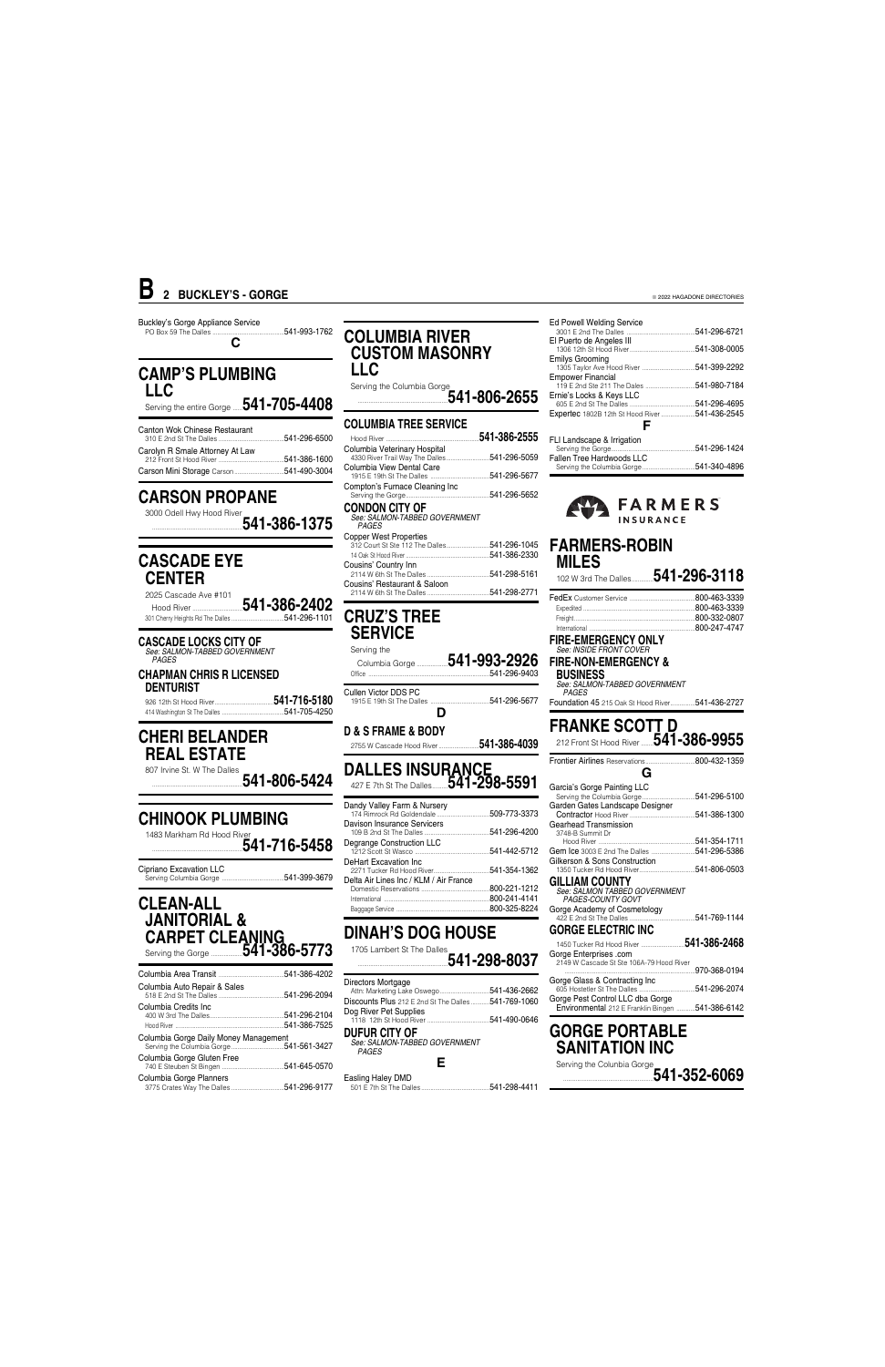Buckley's Gorge Appliance Service PO Box 59 The Dalles ..............................................541-993-1762 **C**

## **CAMP'S PLUMBING LLC**

Serving the entire Gorge ......**541-705-4408**

2025 Cascade Ave #101 Hood River ................................**541-386-2402** 301 Cherry Heights Rd The Dalles ...

| Canton Wok Chinese Restaurant   |              |
|---------------------------------|--------------|
| Carolyn R Smale Attorney At Law | 541-386-1600 |
|                                 |              |

926 12th St Hood River......................................**541-716-5180** 414 Washington St The Dalles.

## **CARSON PROPANE**

3000 Odell Hwy Hood River ..........................................................**541-386-1375**

## **CASCADE EYE CENTER**

**CASCADE LOCKS CITY OF** *See: SALMON-TABBED GOVERNMENT PAGES*

**CHAPMAN CHRIS R LICENSED DENTURIST**

## **CHERI BELANDER REAL ESTATE**

807 Irvine St. W The Dalles ..........................................................**541-806-5424**

# **CHINOOK PLUMBING**

1483 Markham Rd Hood River ..........................................................**541-716-5458** Cipriano Excavation LLC

Serving Columbia Gorge ........................................541-399-3679

## **CLEAN-ALL JANITORIAL & CARPET CLEANING** Serving the Gorge ....................**541-386-5773**

| olumbia Auto Repair & Sales |  |
|-----------------------------|--|
|                             |  |

## **COLUMBIA RIVER CUSTOM MASONRY LLC**

Serving the Columbia Gorge ..........................................................**541-806-2655**

#### **COLUMBIA TREE SERVICE** Hood River ............................................................**541-386-2555** Columbia Veterinary Hospital 4330 River Trail Way The Dalles............................541-296-5059

| Columbia View Dental Care      |                     |
|--------------------------------|---------------------|
|                                |                     |
| Compton's Furnace Cleaning Inc |                     |
|                                |                     |
| CONDON CITY OF                 |                     |
| See: SALMON-TABBED GOVERNMENT  |                     |
| <b>PAGES</b>                   |                     |
| <b>Copper West Properties</b>  |                     |
|                                | <b>FAA OOO AOAF</b> |

| 312 Court St Ste 112 The Dalles541-296-1045 |  |
|---------------------------------------------|--|
|                                             |  |
| Cousins' Country Inn                        |  |
| Cousins' Restaurant & Saloon                |  |
|                                             |  |

## **CRUZ'S TREE SERVICE**

| Serving the          |              |
|----------------------|--------------|
|                      | 541-296-9403 |
| Cullen Victor DDS PC |              |

**D & S FRAME & BODY**

2755 W Cascade Hood River..........................**541-386-4039**

## **DALLES INSURANCE** 427 E 7th St The Dalles..........**541-298-5591**

| Dandy Valley Farm & Nursery            | .509-773-3373 |
|----------------------------------------|---------------|
| Davison Insurance Servicers            | 541-296-4200  |
| Degrange Construction LLC              | 541-442-5712  |
| DeHart Excavation Inc                  | 541-354-1362  |
| Delta Air Lines Inc / KLM / Air France |               |
|                                        | 800-221-1212  |
|                                        | 800-241-4141  |
|                                        | 800-325-8224  |

# **DINAH'S DOG HOUSE**

1705 Lambert St The Dalles ..........................................................**541-298-8037**

|                                                                    | .541-386-4202 |                                                                                           | .970-368-0194                                                                        |
|--------------------------------------------------------------------|---------------|-------------------------------------------------------------------------------------------|--------------------------------------------------------------------------------------|
| Columbia Auto Repair & Sales                                       | 541-296-2094  | Directors Mortgage<br>541-436-2662<br>Discounts Plus 212 E 2nd St The Dalles 541-769-1060 | Gorge Glass & Contracting Inc<br>.541-296-2074                                       |
| Columbia Credits Inc                                               | .541-296-2104 | Dog River Pet Supplies                                                                    | Gorge Pest Control LLC dba Gorge<br>Environmental 212 E Franklin Bingen 541-386-6142 |
|                                                                    | .541-386-7525 | 541-490-0646                                                                              |                                                                                      |
| Columbia Gorge Daily Money Management                              |               | <b>DUFUR CITY OF</b><br>See: SALMON-TABBED GOVERNMENT<br>PAGES                            | <b>GORGE PORTABLE</b><br><b>SANITATION INC</b>                                       |
| Columbia Gorge Gluten Free                                         | .541-645-0570 |                                                                                           | Serving the Colunbia Gorge<br>541-352-6069                                           |
| Columbia Gorge Planners<br>3775 Crates Way The Dalles 541-296-9177 |               | Easling Haley DMD<br>501 E 7th St The Dalles<br>541-298-4411                              |                                                                                      |

| <b>Ed Powell Welding Service</b>              | 541-296-6721  |
|-----------------------------------------------|---------------|
| El Puerto de Angeles III                      | 541-308-0005  |
| <b>Emilys Grooming</b>                        |               |
| <b>Empower Financial</b>                      | 541-980-7184  |
| Ernie's Locks & Keys LLC                      | .541-296-4695 |
| Expertec 1802B 12th St Hood River541-436-2545 |               |
|                                               |               |
| FLI Landscape & Irrigation                    | -             |

Serving the Gorge......................................................541-296-1424 541-296-5059 Fallen Tree Hardwoods LLC Serving the Columbia Gorge..................................541-340-4896

## **FARMERS INSURANCE**

## **FARMERS-ROBIN MILES**

102 W 3rd The Dalles..............**541-296-3118**

| .800-332-0807 |
|---------------|
| 800-247-4747  |

#### **FIRE-EMERGENCY ONLY** *See: INSIDE FRONT COVER*

**FIRE-NON-EMERGENCY & BUSINESS**

*See: SALMON-TABBED GOVERNMENT PAGES*

Foundation 45 215 Oak St Hood River................541-436-2727

# **FRANKE SCOTT D**

212 Front St Hood River ........**541-386-9955**

| G                                                                  |              |
|--------------------------------------------------------------------|--------------|
| Garcia's Gorge Painting LLC                                        |              |
|                                                                    | 541-296-5100 |
| Garden Gates Landscape Designer                                    |              |
|                                                                    | 541-386-1300 |
| Gearhead Transmission                                              |              |
| 3748-B Summit Dr                                                   | 541-354-1711 |
|                                                                    | 541-296-5386 |
| Gilkerson & Sons Construction                                      |              |
|                                                                    |              |
|                                                                    |              |
| <b>GILLIAM COUNTY</b><br>See: SALMON TABBED GOVERNMENT             |              |
| PAGES-COUNTY GOVT                                                  |              |
| Gorge Academy of Cosmetology                                       |              |
| 422 E 2nd St The Dalles.                                           | 541-769-1144 |
| <b>GORGE ELECTRIC INC</b>                                          |              |
|                                                                    | 541-386-2468 |
|                                                                    |              |
| Gorge Enterprises .com<br>2149 W Cascade St Ste 106A-79 Hood River |              |
|                                                                    | 970-368-0194 |
|                                                                    |              |

| rge Enterprises .com<br>149 W Cascade St Ste 106A-79 Hood River |              |
|-----------------------------------------------------------------|--------------|
|                                                                 | 970-368-0194 |
| rge Glass & Contracting Inc                                     |              |
|                                                                 |              |
| rge Pest Control LLC dba Gorge                                  |              |

# **B 2 BUCKLEY'S - GORGE**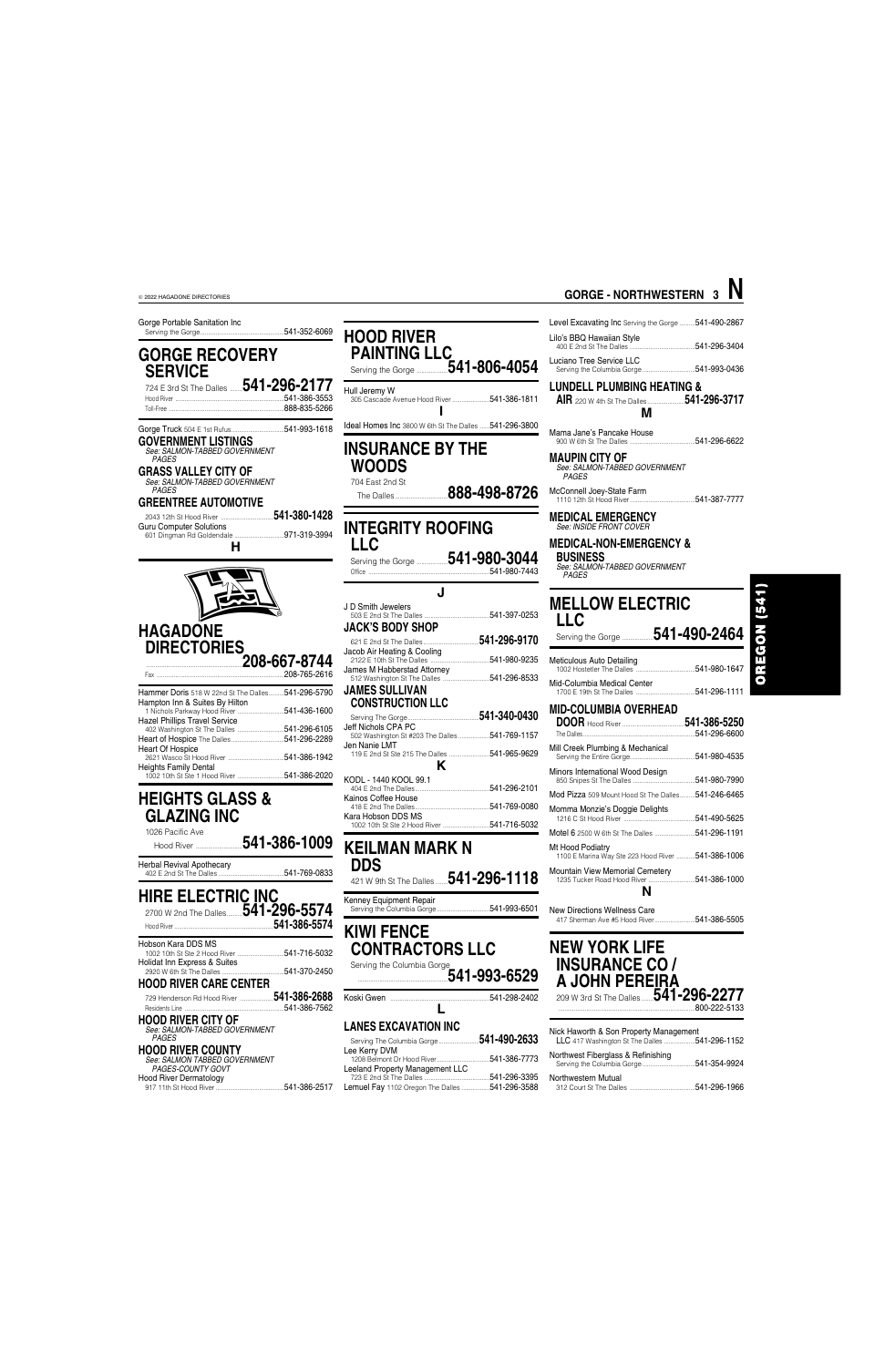Gorge Portable Sanitation Inc Serving the Gorge......................................................541-352-6069

## **GORGE RECOVERY SERVICE**

724 E 3rd St The Dalles ........**541-296-2177** .541-386-3553 Toll-Free ..........................................................................888-835-5266

Gorge Truck 504 E 1st Rufus..................................541-993-1618 **GOVERNMENT LISTINGS**

*See: SALMON-TABBED GOVERNMENT PAGES*

**GRASS VALLEY CITY OF** *See: SALMON-TABBED GOVERNMENT PAGES*

#### **GREENTREE AUTOMOTIVE**

2043 12th St Hood River ..................................**541-380-1428** Guru Computer Solutions 601 Dingman Rd Goldendale ................................971-319-3994 **H**



| <b>TRITTING DUTS</b> JTO WE ZERE OF THE DRIES <del>UTTE ZUU JTU</del> U |               |
|-------------------------------------------------------------------------|---------------|
| Hampton Inn & Suites By Hilton                                          |               |
|                                                                         | .541-436-1600 |
| <b>Hazel Phillips Travel Service</b>                                    |               |
|                                                                         |               |
|                                                                         | 541-296-2289  |
| <b>Heart Of Hospice</b>                                                 |               |
|                                                                         | .541-386-1942 |
| <b>Heights Family Dental</b>                                            |               |
|                                                                         |               |
|                                                                         |               |

## **HEIGHTS GLASS & GLAZING INC**

1026 Pacific Ave Hood River ..............................**541-386-1009** Herbal Revival Apothecary 402 E 2nd St The Dalles ..........................................541-769-0833

| <b>HIRE ELECTRIC INC</b><br>2700 W 2nd The Dalles 541-296-5574 | 541-386-5574 |
|----------------------------------------------------------------|--------------|
| Hobson Kara DDS MS<br>Holidat Inn Express & Suites             | 541-716-5032 |
|                                                                | 541-370-2450 |

**HOOD RIVER CARE CENTER** 729 Henderson Rd Hood River ......................**541-386-2688**

|--|--|--|--|--|--|--|--|

#### **HOOD RIVER CITY OF** *See: SALMON-TABBED GOVERNMENT*

*PAGES*

## **HOOD RIVER COUNTY**

*See: SALMON TABBED GOVERNMENT PAGES-COUNTY GOVT* Hood River Dermatology 917 11th St Hood River ............................................541-386-2517

| <b>HOOD RIVER</b><br><b>PAINTING LLC</b>                       |  |
|----------------------------------------------------------------|--|
| Hull Jeremy W<br>541-386-1811<br>305 Cascade Avenue Hood River |  |

Ideal Homes Inc 3800 W 6th St The Dalles ......541-296-3800

## **INSURANCE BY THE WOODS**

704 East 2nd St

# The Dalles..................................**888-498-8726**

 $.541 - 980 - 7443$ 

## **INTEGRITY ROOFING LLC**

Serving the Gorge ....................**541-980-3044**

| J D Smith Jewelers<br><b>JACK'S BODY SHOP</b>                         |                                |
|-----------------------------------------------------------------------|--------------------------------|
| 621 E 2nd St The Dalles.                                              | __________________541-296-9170 |
| Jacob Air Heating & Cooling                                           |                                |
| James M Habberstad Attorney                                           |                                |
| <b>JAMES SULLIVAN</b><br><b>CONSTRUCTION LLC</b>                      |                                |
|                                                                       |                                |
| Jeff Nichols CPA PC<br>502 Washington St #203 The Dalles 541-769-1157 |                                |
| Jen Nanie LMT<br>Κ                                                    |                                |
| KODL - 1440 KOOL 99.1                                                 |                                |
|                                                                       |                                |
| Kainos Coffee House<br>Kara Hobson DDS MS                             |                                |
|                                                                       |                                |

## **KEILMAN MARK N DDS** 421 W 9th St The Dalles ........**541-296-1118**

Kenney Equipment Repair Serving the Columbia Gorge..................................541-993-6501

## **KIWI FENCE CONTRACTORS LLC** Serving the Columbia Gorge

..........................................................**541-993-6529** Koski Gwen ................................................................541-298-2402

**L**

### **LANES EXCAVATION INC**

| Serving The Columbia Gorge 541-490-2633               |              |
|-------------------------------------------------------|--------------|
| Lee Kerry DVM                                         |              |
|                                                       |              |
| Leeland Property Management LLC                       |              |
|                                                       | 541-296-3395 |
| <b>Lemuel Fay</b> 1102 Oregon The Dalles 541-296-3588 |              |

Level Excavating Inc Serving the Gorge ..........541-490-2867 Lilo's BBQ Hawaiian Style 400 E 2nd St The Dalles ..........................................541-296-3404

Luciano Tree Service LLC Serving the Columbia Gorge..................................541-993-0436

## **LUNDELL PLUMBING HEATING &**

**AIR** 220 W 4th St The Dalles........................**541-296-3717 M**

Mama Jane's Pancake House 900 W 6th St The Dalles ..........................................541-296-6622

**MAUPIN CITY OF** *See: SALMON-TABBED GOVERNMENT PAGES*

McConnell Joey-State Farm 1110 12th St Hood River..........................................541-387-7777

#### **MEDICAL EMERGENCY** *See: INSIDE FRONT COVER*

**MEDICAL-NON-EMERGENCY & BUSINESS**

*See: SALMON-TABBED GOVERNMENT PAGES*

# **MELLOW ELECTRIC**

**LLC** Serving the Gorge ....................**541-490-2464**

- Meticulous Auto Detailing 1002 Hostetler The Dalles ......................................541-980-1647 Mid-Columbia Medical Center
- 1700 E 19th St The Dalles ......................................541-296-1111 **MID-COLUMBIA OVERHEAD**
- **DOOR** Hood River ........................................**541-386-5250** The Dalles ........................................................................541-296-6600 Mill Creek Plumbing & Mechanical Serving the Entire Gorge..........................................541-980-4535 Minors International Wood Design 850 Snipes St The Dalles ........................................541-980-7990 Mod Pizza 509 Mount Hood St The Dalles..........541-246-6465 Momma Monzie's Doggie Delights 1216 C St Hood River ..............................................541-490-5625 Motel 6 2500 W 6th St The Dalles ..........................541-296-1191 Mt Hood Podiatry 1100 E Marina Way Ste 223 Hood River ............541-386-1006
- Mountain View Memorial Cemetery 1235 Tucker Road Hood River ..............................541-386-1000 **N**

New Directions Wellness Care 417 Sherman Ave #5 Hood River..........................541-386-5505

# $(1 + 5)$

OREGON

#### ........................................................................................800-222-5133

| Nick Haworth & Son Property Management<br>LLC 417 Washington St The Dalles 541-296-1152 |               |
|-----------------------------------------------------------------------------------------|---------------|
| Northwest Fiberglass & Refinishing                                                      | .541-354-9924 |
| Northwestern Mutual<br>312 Court St The Dalles                                          | .541-296-1966 |

# **GORGE - NORTHWESTERN 3 N**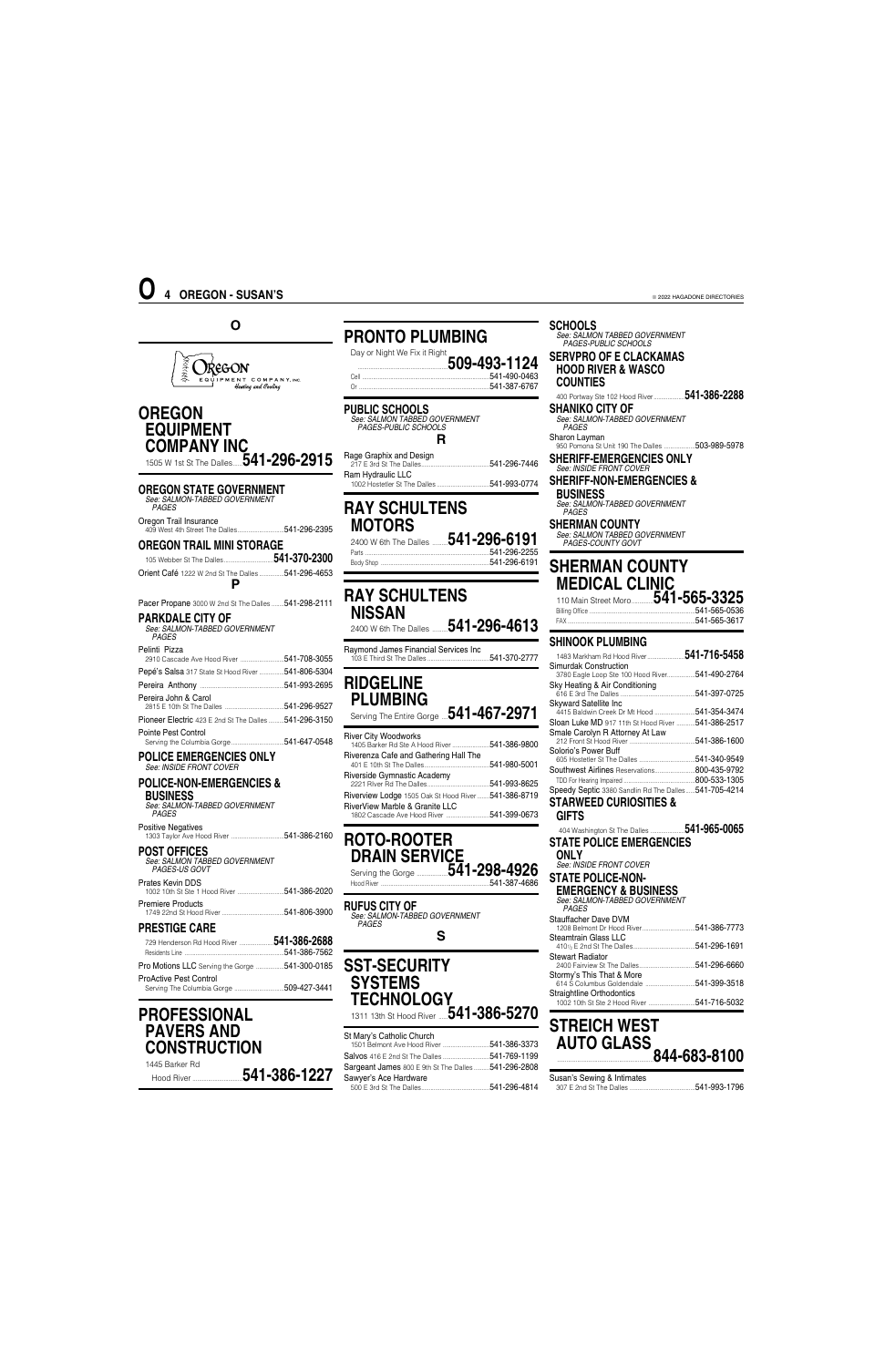## **O**



## **OREGON EQUIPMENT COMPANY INC** 1505 W 1st St The Dalles......**541-296-2915**

**OREGON STATE GOVERNMENT** *See: SALMON-TABBED GOVERNMENT*

| <b>PAGES</b>           |  |
|------------------------|--|
| Oregon Trail Insurance |  |
|                        |  |

## **OREGON TRAIL MINI STORAGE**

105 Webber St The Dalles................................**541-370-2300** Orient Café 1222 W 2nd St The Dalles ................541-296-4653 **P**

Pacer Propane 3000 W 2nd St The Dalles ........ 541-298-2111

#### **PARKDALE CITY OF**

| See: SALMON-TABBED GOVERNMENT<br><b>PAGES</b>             |  |
|-----------------------------------------------------------|--|
| Pelinti Pizza<br>2910 Cascade Ave Hood River 541-708-3055 |  |
| Pepé's Salsa 317 State St Hood River 541-806-5304         |  |
|                                                           |  |
| Pereira John & Carol                                      |  |
| Pioneer Electric 423 E 2nd St The Dalles  541-296-3150    |  |
| Pointe Pest Control                                       |  |

#### **POLICE EMERGENCIES ONLY** *See: INSIDE FRONT COVER*

#### **POLICE-NON-EMERGENCIES & BUSINESS** *See: SALMON-TABBED GOVERNMENT*

*PAGES* Positive Negatives 1303 Taylor Ave Hood River ..................................541-386-2160

#### **POST OFFICES**

| <b>PRESTIGE CARE</b>                                       |  |
|------------------------------------------------------------|--|
| <b>Premiere Products</b>                                   |  |
| Prates Kevin DDS                                           |  |
| .<br>See: SALMON TABBED GOVERNMENT<br><i>PAGES-US GOVT</i> |  |

.541-296-2255 Body Shop ......................................................................541-296-6191

| 729 Henderson Rd Hood River 541-386-2688       |  |
|------------------------------------------------|--|
|                                                |  |
| Pro Motions LLC Serving the Gorge 541-300-0185 |  |
| ProActive Pest Control                         |  |

## **PROFESSIONAL PAVERS AND CONSTRUCTION**

1445 Barker Rd Hood River ................................**541-386-1227** 1311 13th St Hood River .....**541-386-5270** 

## **PRONTO PLUMBING**

Day or Night We Fix it Right ..........................................................**509-493-1124** ..541-490-0463 Or ....................................................................................541-387-6767

## **PUBLIC SCHOOLS**

*See: SALMON TABBED GOVERNMENT PAGES-PUBLIC SCHOOLS* **R**

| Rage Graphix and Design |  |
|-------------------------|--|
| Ram Hydraulic LLC       |  |
|                         |  |

## **RAY SCHULTENS MOTORS** 2400 W 6th The Dalles ..........**541-296-6191**

## **RAY SCHULTENS NISSAN**

2400 W 6th The Dalles ..........**541-296-4613**

Raymond James Financial Services Inc 103 E Third St The Dalles ........................................541-370-2777

## **RIDGELINE PLUMBING** Serving The Entire Gorge ....**541-467-2971**

River City Woodworks

| <b>HIVEL OILY VVOUUWUINS</b><br>1405 Barker Rd Ste A Hood River | 541-386-9800 |
|-----------------------------------------------------------------|--------------|
| Riverenza Cafe and Gathering Hall The                           | 541-980-5001 |
| Riverside Gymnastic Academy                                     | 541-993-8625 |
| Riverview Lodge 1505 Oak St Hood River541-386-8719              |              |
| RiverView Marble & Granite LLC                                  | 541-399-0673 |

| <b>ROTO-ROOTER</b><br><b>DRAIN SERVICE</b> |              |
|--------------------------------------------|--------------|
|                                            |              |
| Hood River                                 | 541-387-4686 |

 $-541-387-4686$ 

## **RUFUS CITY OF**

*See: SALMON-TABBED GOVERNMENT PAGES* **S**

## **SST-SECURITY SYSTEMS TECHNOLOGY**

#### St Mary's Catholic Church

| 1501 Belmont Ave Hood River 541-386-3373             |  |
|------------------------------------------------------|--|
| Salvos 416 E 2nd St The Dalles 541-769-1199          |  |
| Sargeant James 800 E 9th St The Dalles  541-296-2808 |  |
| Sawyer's Ace Hardware                                |  |
|                                                      |  |

**SCHOOLS** *See: SALMON TABBED GOVERNMENT PAGES-PUBLIC SCHOOLS* **SERVPRO OF E CLACKAMAS HOOD RIVER & WASCO COUNTIES**

## 400 Portway Ste 102 Hood River....................**541-386-2288**

**SHANIKO CITY OF** *See: SALMON-TABBED GOVERNMENT*

## *PAGES*

Sharon Layman 950 Pomona St Unit 190 The Dalles ....................503-989-5978 **SHERIFF-EMERGENCIES ONLY**

*See: INSIDE FRONT COVER*

#### **SHERIFF-NON-EMERGENCIES & BUSINESS** *See: SALMON-TABBED GOVERNMENT*

*PAGES*

**SHERMAN COUNTY** *See: SALMON TABBED GOVERNMENT PAGES-COUNTY GOVT*

## **SHERMAN COUNTY MEDICAL CLINIC**

110 Main Street Moro..............**541-565-3325** Billing Office ....................................................................541-565-0536

| FA) |  |
|-----|--|
|     |  |
|     |  |

## **SHINOOK PLUMBING**

|                                                       | 541-716-5458 |
|-------------------------------------------------------|--------------|
| Simurdak Construction                                 |              |
| 3780 Eagle Loop Ste 100 Hood River                    | 541-490-2764 |
| Sky Heating & Air Conditioning                        |              |
|                                                       | 541-397-0725 |
| <b>Skyward Satellite Inc</b>                          |              |
| 4415 Baldwin Creek Dr Mt Hood 541-354-3474            |              |
| Sloan Luke MD 917 11th St Hood River                  | 541-386-2517 |
| Smale Carolyn R Attorney At Law                       |              |
|                                                       | 541-386-1600 |
| Solorio's Power Buff                                  |              |
|                                                       | 541-340-9549 |
| <b>Southwest Airlines Reservations</b>                | 800-435-9792 |
|                                                       | 800-533-1305 |
| Speedy Septic 3380 Sandlin Rd The Dalles 541-705-4214 |              |
| <b>STARWEED CURIOSITIES &amp;</b>                     |              |
| ^''''^                                                |              |

#### **GIFTS** 404 Washington St The Dalles ......................**541-965-0065 STATE POLICE EMERGENCIES ONLY** *See: INSIDE FRONT COVER*

**STATE POLICE-NON-**

## **EMERGENCY & BUSINESS**

| EMENGENGT & DUJINEJJ<br>See: SALMON-TABBED GOVERNMENT |               |
|-------------------------------------------------------|---------------|
| <i>PAGES</i>                                          |               |
| Stauffacher Dave DVM                                  |               |
|                                                       |               |
| Steamtrain Glass LLC                                  | 541-296-1691  |
|                                                       |               |
| <b>Stewart Radiator</b>                               | .541-296-6660 |
| Stormy's This That & More                             |               |
|                                                       | .541-399-3518 |
| Straightline Orthodontics                             |               |
|                                                       | 541-716-5032  |

## **STREICH WEST AUTO GLASS** ..............................................................**844-683-8100**

Susan's Sewing & Intimates 307 E 2nd St The Dalles ..........................................541-993-1796

# **O 4 OREGON - SUSAN'S**